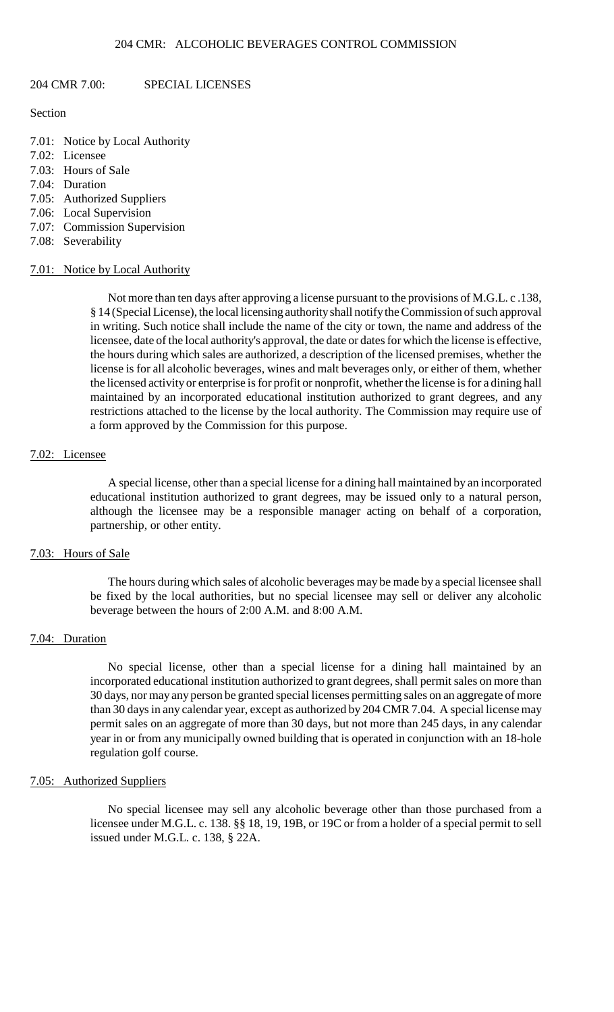## 204 CMR 7.00: SPECIAL LICENSES

## Section

- 7.01: Notice by Local Authority
- 7.02: Licensee
- 7.03: Hours of Sale
- 7.04: Duration
- 7.05: Authorized Suppliers
- 7.06: Local Supervision
- 7.07: Commission Supervision
- 7.08: Severability

### 7.01: Notice by Local Authority

Not more than ten days after approving a license pursuant to the provisions of M.G.L. c .138, § 14 (Special License), the local licensing authority shall notify the Commission of such approval in writing. Such notice shall include the name of the city or town, the name and address of the licensee, date of the local authority's approval, the date or dates for which the license is effective, the hours during which sales are authorized, a description of the licensed premises, whether the license is for all alcoholic beverages, wines and malt beverages only, or either of them, whether the licensed activity or enterprise is for profit or nonprofit, whether the license is for a dining hall maintained by an incorporated educational institution authorized to grant degrees, and any restrictions attached to the license by the local authority. The Commission may require use of a form approved by the Commission for this purpose.

## 7.02: Licensee

A special license, other than a special license for a dining hall maintained by an incorporated educational institution authorized to grant degrees, may be issued only to a natural person, although the licensee may be a responsible manager acting on behalf of a corporation, partnership, or other entity.

### 7.03: Hours of Sale

 The hours during which sales of alcoholic beverages may be made by a special licensee shall be fixed by the local authorities, but no special licensee may sell or deliver any alcoholic beverage between the hours of 2:00 A.M. and 8:00 A.M.

### 7.04: Duration

 No special license, other than a special license for a dining hall maintained by an incorporated educational institution authorized to grant degrees, shall permit sales on more than 30 days, nor may any person be granted special licenses permitting sales on an aggregate of more than 30 days in any calendar year, except as authorized by 204 CMR 7.04. A special license may permit sales on an aggregate of more than 30 days, but not more than 245 days, in any calendar year in or from any municipally owned building that is operated in conjunction with an 18-hole regulation golf course.

# 7.05: Authorized Suppliers

 licensee under M.G.L. c. 138. §§ 18, 19, 19B, or 19C or from a holder of a special permit to sell No special licensee may sell any alcoholic beverage other than those purchased from a issued under M.G.L. c. 138, § 22A.